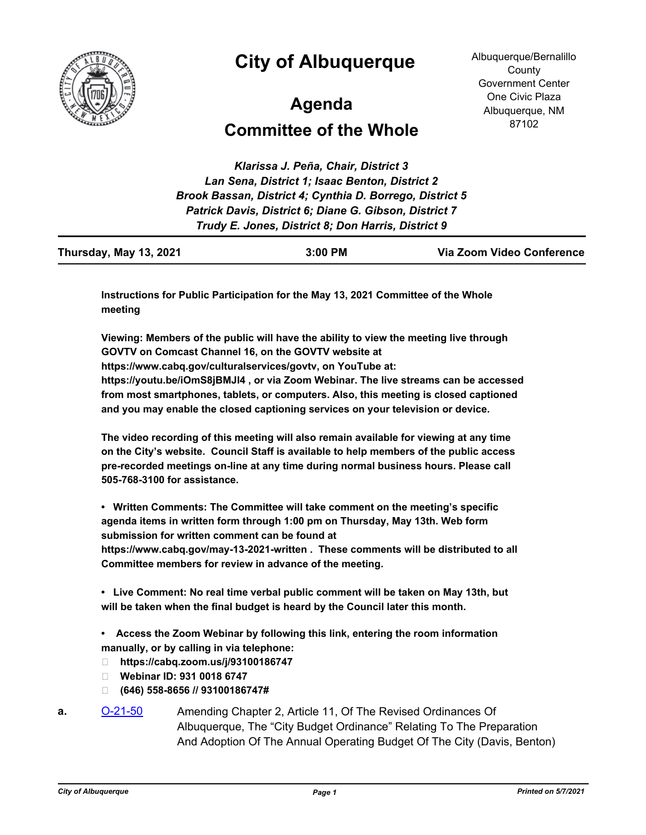

## **City of Albuquerque**

Albuquerque/Bernalillo **County** Government Center One Civic Plaza Albuquerque, NM 87102

## **Committee of the Whole Agenda**

*Klarissa J. Peña, Chair, District 3 Lan Sena, District 1; Isaac Benton, District 2 Brook Bassan, District 4; Cynthia D. Borrego, District 5 Patrick Davis, District 6; Diane G. Gibson, District 7 Trudy E. Jones, District 8; Don Harris, District 9*

| Thursday, May 13, 2021 | $3:00$ PM | Via Zoom Video Conference |
|------------------------|-----------|---------------------------|
|------------------------|-----------|---------------------------|

**Instructions for Public Participation for the May 13, 2021 Committee of the Whole meeting**

**Viewing: Members of the public will have the ability to view the meeting live through GOVTV on Comcast Channel 16, on the GOVTV website at https://www.cabq.gov/culturalservices/govtv, on YouTube at: https://youtu.be/iOmS8jBMJl4 , or via Zoom Webinar. The live streams can be accessed from most smartphones, tablets, or computers. Also, this meeting is closed captioned and you may enable the closed captioning services on your television or device.**

**The video recording of this meeting will also remain available for viewing at any time on the City's website. Council Staff is available to help members of the public access pre-recorded meetings on-line at any time during normal business hours. Please call 505-768-3100 for assistance.**

**• Written Comments: The Committee will take comment on the meeting's specific agenda items in written form through 1:00 pm on Thursday, May 13th. Web form submission for written comment can be found at** 

**https://www.cabq.gov/may-13-2021-written . These comments will be distributed to all Committee members for review in advance of the meeting.**

**• Live Comment: No real time verbal public comment will be taken on May 13th, but will be taken when the final budget is heard by the Council later this month.**

**• Access the Zoom Webinar by following this link, entering the room information manually, or by calling in via telephone:**

- **https://cabq.zoom.us/j/93100186747**
- **Webinar ID: 931 0018 6747**
- **(646) 558-8656 // 93100186747#**
- **a.** [O-21-50](http://cabq.legistar.com/gateway.aspx?m=l&id=/matter.aspx?key=12347) Amending Chapter 2, Article 11, Of The Revised Ordinances Of Albuquerque, The "City Budget Ordinance" Relating To The Preparation And Adoption Of The Annual Operating Budget Of The City (Davis, Benton)